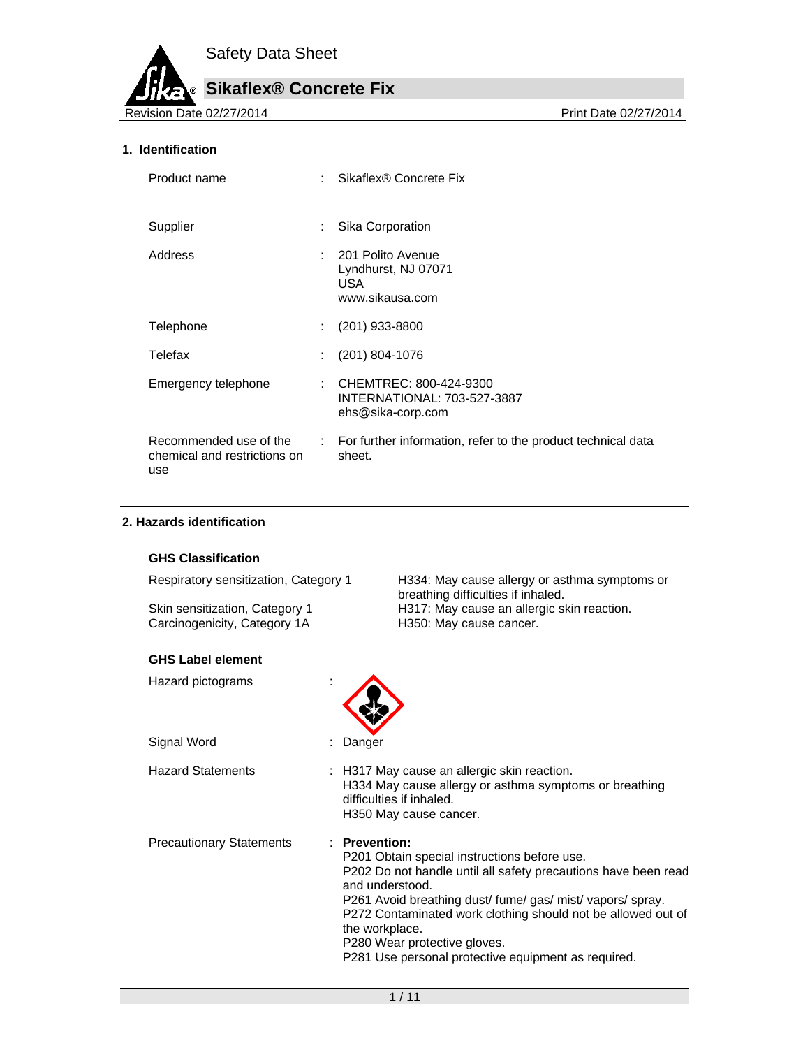## **Sikaflex® Concrete Fix**

Revision Date 02/27/2014 **Print Date 02/27/2014** Print Date 02/27/2014

#### **1. Identification**

| Product name                                                  |                            | Sikaflex® Concrete Fix                                                       |
|---------------------------------------------------------------|----------------------------|------------------------------------------------------------------------------|
| Supplier                                                      | ÷                          | Sika Corporation                                                             |
| Address                                                       |                            | : 201 Polito Avenue<br>Lyndhurst, NJ 07071<br>USA.<br>www.sikausa.com        |
| Telephone                                                     | $\mathbb{R}^{\mathbb{Z}}$  | $(201)$ 933-8800                                                             |
| Telefax                                                       |                            | (201) 804-1076                                                               |
| Emergency telephone                                           |                            | : CHEMTREC: 800-424-9300<br>INTERNATIONAL: 703-527-3887<br>ehs@sika-corp.com |
| Recommended use of the<br>chemical and restrictions on<br>use | $\mathcal{L}^{\text{max}}$ | For further information, refer to the product technical data<br>sheet.       |

#### **2. Hazards identification**

#### **GHS Classification**

Respiratory sensitization, Category 1 H334: May cause allergy or asthma symptoms or

Skin sensitization, Category 1 H317: May cause an allergic skin reaction. Carcinogenicity, Category 1A H350: May cause cancer.

#### **GHS Label element**

Hazard pictograms :



Hazard Statements : H317 May cause an allergic skin reaction. H334 May cause allergy or asthma symptoms or breathing difficulties if inhaled. H350 May cause cancer. Precautionary Statements : **Prevention:**  P201 Obtain special instructions before use.

P202 Do not handle until all safety precautions have been read and understood.

P261 Avoid breathing dust/ fume/ gas/ mist/ vapors/ spray. P272 Contaminated work clothing should not be allowed out of the workplace.

P280 Wear protective gloves.

P281 Use personal protective equipment as required.

breathing difficulties if inhaled.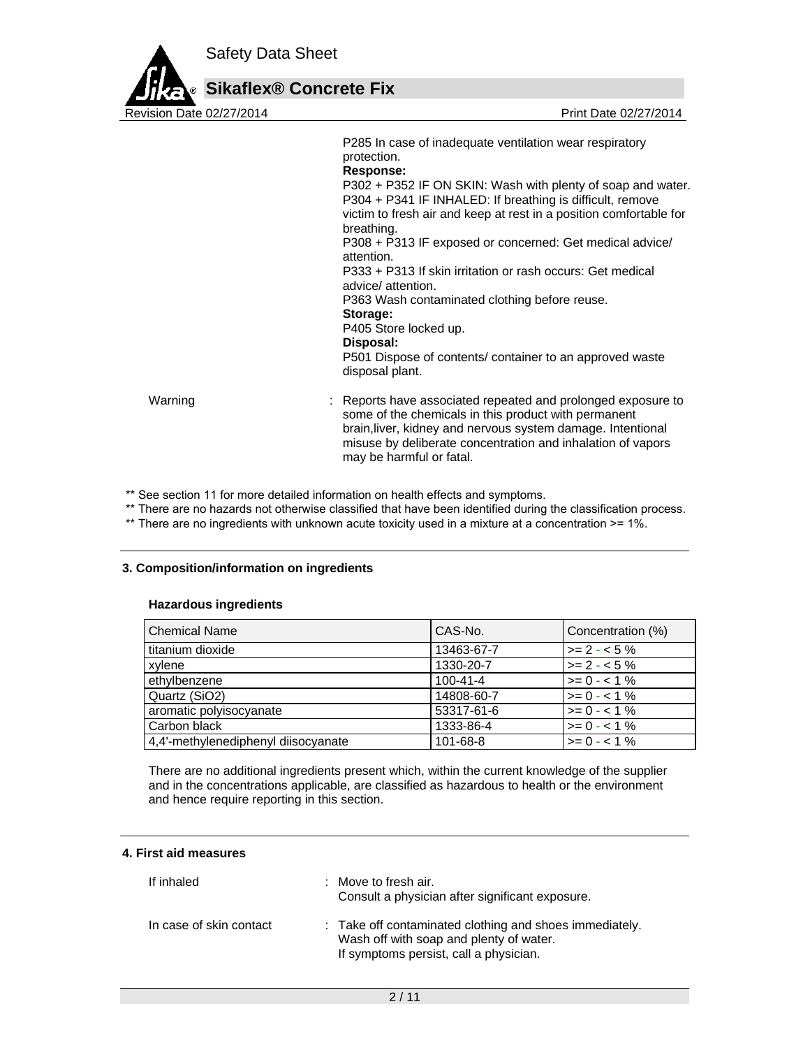

| P285 In case of inadequate ventilation wear respiratory<br>protection.                                                                                                                                       |
|--------------------------------------------------------------------------------------------------------------------------------------------------------------------------------------------------------------|
| Response:                                                                                                                                                                                                    |
| P302 + P352 IF ON SKIN: Wash with plenty of soap and water.<br>P304 + P341 IF INHALED: If breathing is difficult, remove<br>victim to fresh air and keep at rest in a position comfortable for<br>breathing. |
| P308 + P313 IF exposed or concerned: Get medical advice/<br>attention.                                                                                                                                       |
| P333 + P313 If skin irritation or rash occurs: Get medical<br>advice/attention.                                                                                                                              |
| P363 Wash contaminated clothing before reuse.                                                                                                                                                                |
| Storage:<br>P405 Store locked up.<br>Disposal:<br>P501 Dispose of contents/ container to an approved waste<br>disposal plant.                                                                                |
|                                                                                                                                                                                                              |

Warning **Example 20 Starts 1 and 20 Starts 1 and 2** : Reports have associated repeated and prolonged exposure to some of the chemicals in this product with permanent brain,liver, kidney and nervous system damage. Intentional misuse by deliberate concentration and inhalation of vapors may be harmful or fatal.

\*\* See section 11 for more detailed information on health effects and symptoms.

\*\* There are no hazards not otherwise classified that have been identified during the classification process.

\*\* There are no ingredients with unknown acute toxicity used in a mixture at a concentration >= 1%.

#### **3. Composition/information on ingredients**

#### **Hazardous ingredients**

| <b>Chemical Name</b>                | CAS-No.        | Concentration (%) |
|-------------------------------------|----------------|-------------------|
| titanium dioxide                    | 13463-67-7     | $>= 2 - 5\%$      |
| xylene                              | 1330-20-7      | $>= 2 - 5%$       |
| ethylbenzene                        | $100 - 41 - 4$ | $>= 0 - 1\%$      |
| Quartz (SiO2)                       | 14808-60-7     | $>= 0 - 1\%$      |
| aromatic polyisocyanate             | 53317-61-6     | $>= 0 - 1\%$      |
| Carbon black                        | 1333-86-4      | $>= 0 - 1\%$      |
| 4,4'-methylenediphenyl diisocyanate | 101-68-8       | $>= 0 - 1\%$      |

There are no additional ingredients present which, within the current knowledge of the supplier and in the concentrations applicable, are classified as hazardous to health or the environment and hence require reporting in this section.

#### **4. First aid measures**

| If inhaled              | : Move to fresh air.<br>Consult a physician after significant exposure.                                                                      |
|-------------------------|----------------------------------------------------------------------------------------------------------------------------------------------|
| In case of skin contact | : Take off contaminated clothing and shoes immediately.<br>Wash off with soap and plenty of water.<br>If symptoms persist, call a physician. |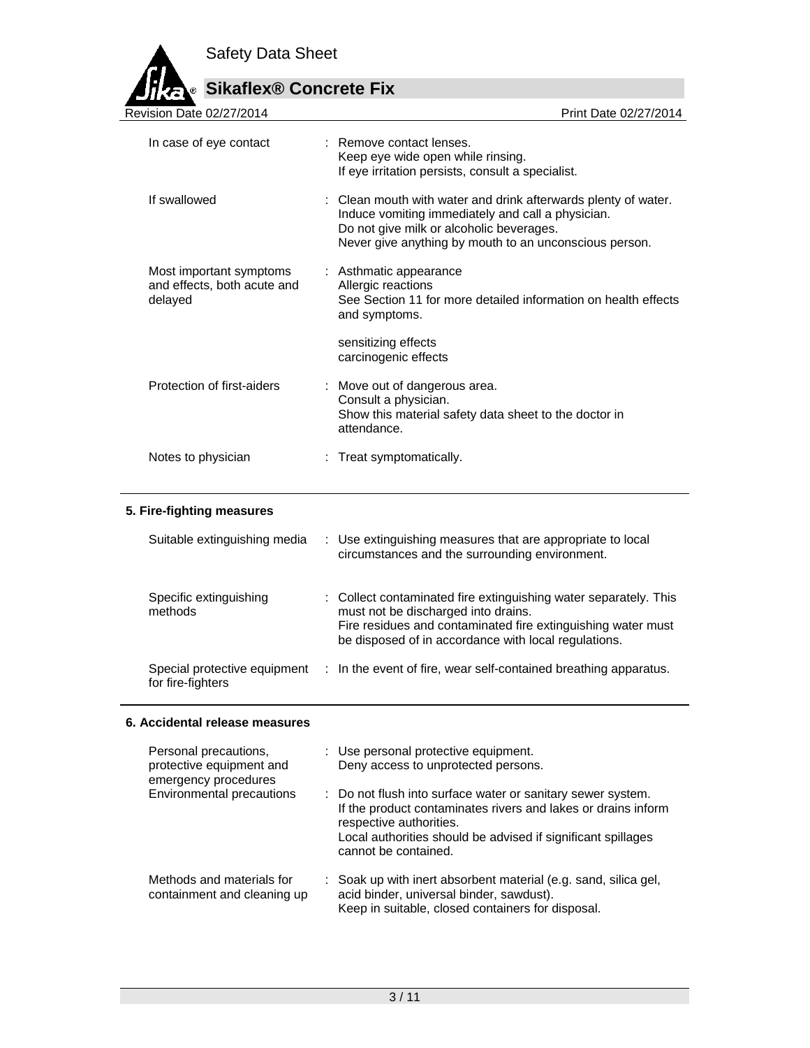

# **Sikaflex® Concrete Fix**

| Revision Date 02/27/2014                                          | Print Date 02/27/2014                                                                                                                                                                                                     |
|-------------------------------------------------------------------|---------------------------------------------------------------------------------------------------------------------------------------------------------------------------------------------------------------------------|
| In case of eye contact                                            | : Remove contact lenses.<br>Keep eye wide open while rinsing.<br>If eye irritation persists, consult a specialist.                                                                                                        |
| If swallowed                                                      | : Clean mouth with water and drink afterwards plenty of water.<br>Induce vomiting immediately and call a physician.<br>Do not give milk or alcoholic beverages.<br>Never give anything by mouth to an unconscious person. |
| Most important symptoms<br>and effects, both acute and<br>delayed | : Asthmatic appearance<br>Allergic reactions<br>See Section 11 for more detailed information on health effects<br>and symptoms.                                                                                           |
|                                                                   | sensitizing effects<br>carcinogenic effects                                                                                                                                                                               |
| Protection of first-aiders                                        | : Move out of dangerous area.<br>Consult a physician.<br>Show this material safety data sheet to the doctor in<br>attendance.                                                                                             |
| Notes to physician                                                | : Treat symptomatically.                                                                                                                                                                                                  |
|                                                                   |                                                                                                                                                                                                                           |

## **5. Fire-fighting measures**

| Suitable extinguishing media                      | : Use extinguishing measures that are appropriate to local<br>circumstances and the surrounding environment.                                                                                                                    |
|---------------------------------------------------|---------------------------------------------------------------------------------------------------------------------------------------------------------------------------------------------------------------------------------|
| Specific extinguishing<br>methods                 | : Collect contaminated fire extinguishing water separately. This<br>must not be discharged into drains.<br>Fire residues and contaminated fire extinguishing water must<br>be disposed of in accordance with local regulations. |
| Special protective equipment<br>for fire-fighters | : In the event of fire, wear self-contained breathing apparatus.                                                                                                                                                                |

## **6. Accidental release measures**

| Personal precautions,<br>protective equipment and<br>emergency procedures | : Use personal protective equipment.<br>Deny access to unprotected persons.                                                                                                                                                                     |
|---------------------------------------------------------------------------|-------------------------------------------------------------------------------------------------------------------------------------------------------------------------------------------------------------------------------------------------|
| Environmental precautions                                                 | : Do not flush into surface water or sanitary sewer system.<br>If the product contaminates rivers and lakes or drains inform<br>respective authorities.<br>Local authorities should be advised if significant spillages<br>cannot be contained. |
| Methods and materials for<br>containment and cleaning up                  | : Soak up with inert absorbent material (e.g. sand, silica gel,<br>acid binder, universal binder, sawdust).<br>Keep in suitable, closed containers for disposal.                                                                                |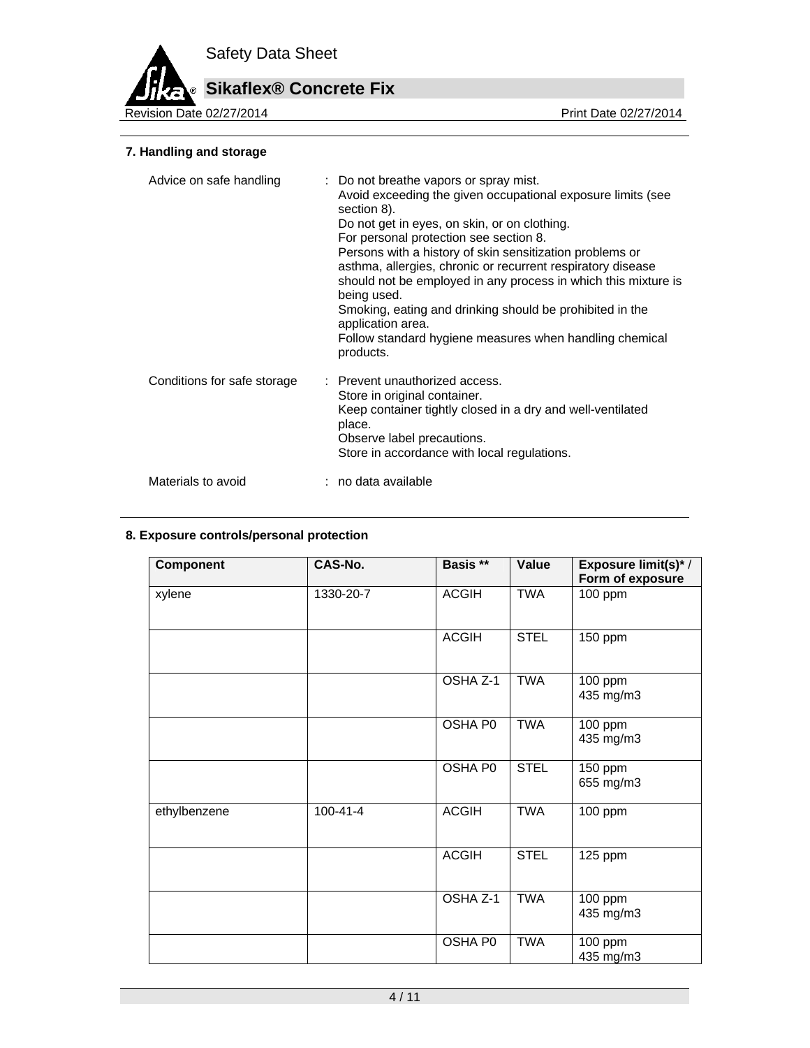# **Sikaflex® Concrete Fix**

Revision Date 02/27/2014

## **7. Handling and storage**

| Advice on safe handling     | : Do not breathe vapors or spray mist.<br>Avoid exceeding the given occupational exposure limits (see<br>section 8).<br>Do not get in eyes, on skin, or on clothing.<br>For personal protection see section 8.<br>Persons with a history of skin sensitization problems or<br>asthma, allergies, chronic or recurrent respiratory disease<br>should not be employed in any process in which this mixture is<br>being used.<br>Smoking, eating and drinking should be prohibited in the<br>application area.<br>Follow standard hygiene measures when handling chemical<br>products. |
|-----------------------------|-------------------------------------------------------------------------------------------------------------------------------------------------------------------------------------------------------------------------------------------------------------------------------------------------------------------------------------------------------------------------------------------------------------------------------------------------------------------------------------------------------------------------------------------------------------------------------------|
| Conditions for safe storage | : Prevent unauthorized access.<br>Store in original container.<br>Keep container tightly closed in a dry and well-ventilated<br>place.<br>Observe label precautions.<br>Store in accordance with local regulations.                                                                                                                                                                                                                                                                                                                                                                 |
| Materials to avoid          | : no data available                                                                                                                                                                                                                                                                                                                                                                                                                                                                                                                                                                 |

#### **8. Exposure controls/personal protection**

| <b>Component</b> | CAS-No.                 | Basis **       | Value       | Exposure limit(s)* /<br>Form of exposure |
|------------------|-------------------------|----------------|-------------|------------------------------------------|
| xylene           | $\overline{1330}$ -20-7 | <b>ACGIH</b>   | <b>TWA</b>  | 100 ppm                                  |
|                  |                         | <b>ACGIH</b>   | <b>STEL</b> | 150 ppm                                  |
|                  |                         | OSHA Z-1       | <b>TWA</b>  | 100 ppm<br>435 mg/m3                     |
|                  |                         | OSHA P0        | <b>TWA</b>  | 100 ppm<br>435 mg/m3                     |
|                  |                         | <b>OSHA PO</b> | <b>STEL</b> | $\overline{150}$ ppm<br>655 mg/m3        |
| ethylbenzene     | $100 - 41 - 4$          | <b>ACGIH</b>   | <b>TWA</b>  | 100 ppm                                  |
|                  |                         | <b>ACGIH</b>   | <b>STEL</b> | 125 ppm                                  |
|                  |                         | OSHA Z-1       | <b>TWA</b>  | $100$ ppm<br>435 mg/m3                   |
|                  |                         | OSHA P0        | <b>TWA</b>  | 100 ppm<br>435 mg/m3                     |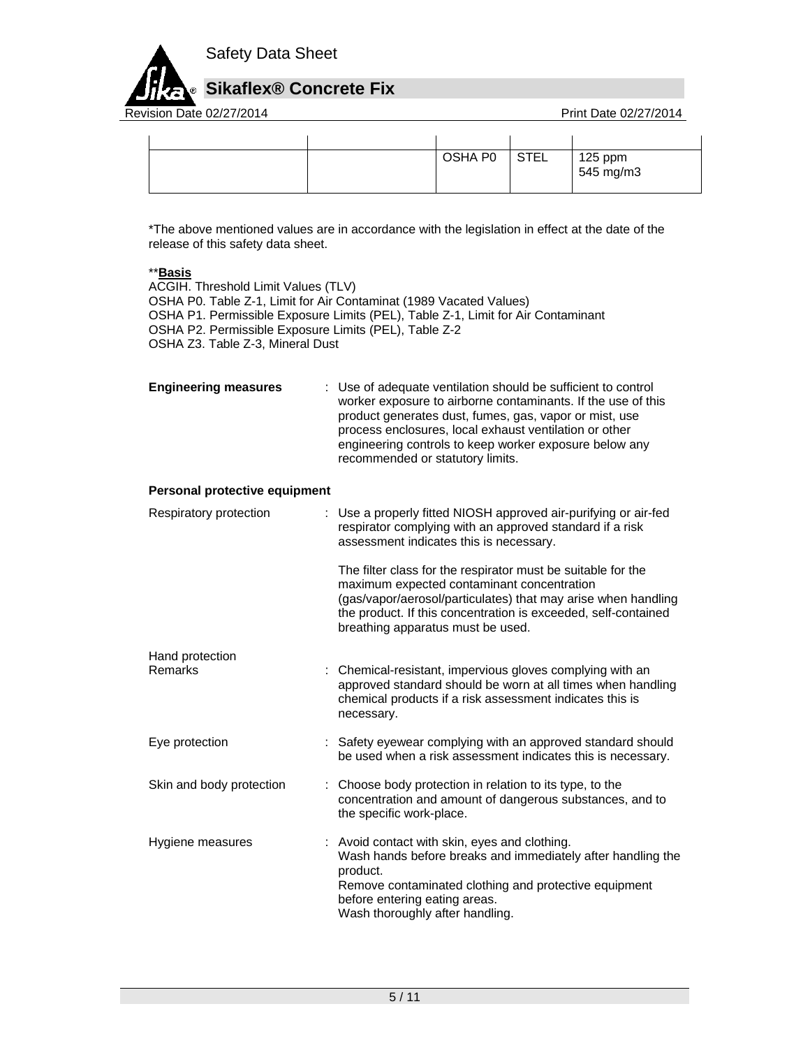

Revision Date 02/27/2014 **Revision Date 02/27/2014** 

|  | OSHA P0 | <b>STEL</b> | 125 ppm<br>545 mg/m3 |
|--|---------|-------------|----------------------|
|  |         |             |                      |
|  |         |             |                      |

\*The above mentioned values are in accordance with the legislation in effect at the date of the release of this safety data sheet.

## \*\***Basis**

ACGIH. Threshold Limit Values (TLV) OSHA P0. Table Z-1, Limit for Air Contaminat (1989 Vacated Values) OSHA P1. Permissible Exposure Limits (PEL), Table Z-1, Limit for Air Contaminant OSHA P2. Permissible Exposure Limits (PEL), Table Z-2 OSHA Z3. Table Z-3, Mineral Dust

**Engineering measures** : Use of adequate ventilation should be sufficient to control worker exposure to airborne contaminants. If the use of this product generates dust, fumes, gas, vapor or mist, use process enclosures, local exhaust ventilation or other engineering controls to keep worker exposure below any recommended or statutory limits.

#### **Personal protective equipment**

| Respiratory protection   | : Use a properly fitted NIOSH approved air-purifying or air-fed<br>respirator complying with an approved standard if a risk<br>assessment indicates this is necessary.                                                                                                             |
|--------------------------|------------------------------------------------------------------------------------------------------------------------------------------------------------------------------------------------------------------------------------------------------------------------------------|
|                          | The filter class for the respirator must be suitable for the<br>maximum expected contaminant concentration<br>(gas/vapor/aerosol/particulates) that may arise when handling<br>the product. If this concentration is exceeded, self-contained<br>breathing apparatus must be used. |
| Hand protection          |                                                                                                                                                                                                                                                                                    |
| Remarks                  | : Chemical-resistant, impervious gloves complying with an<br>approved standard should be worn at all times when handling<br>chemical products if a risk assessment indicates this is<br>necessary.                                                                                 |
| Eye protection           | : Safety eyewear complying with an approved standard should<br>be used when a risk assessment indicates this is necessary.                                                                                                                                                         |
| Skin and body protection | : Choose body protection in relation to its type, to the<br>concentration and amount of dangerous substances, and to<br>the specific work-place.                                                                                                                                   |
| Hygiene measures         | : Avoid contact with skin, eyes and clothing.<br>Wash hands before breaks and immediately after handling the<br>product.<br>Remove contaminated clothing and protective equipment<br>before entering eating areas.<br>Wash thoroughly after handling.                              |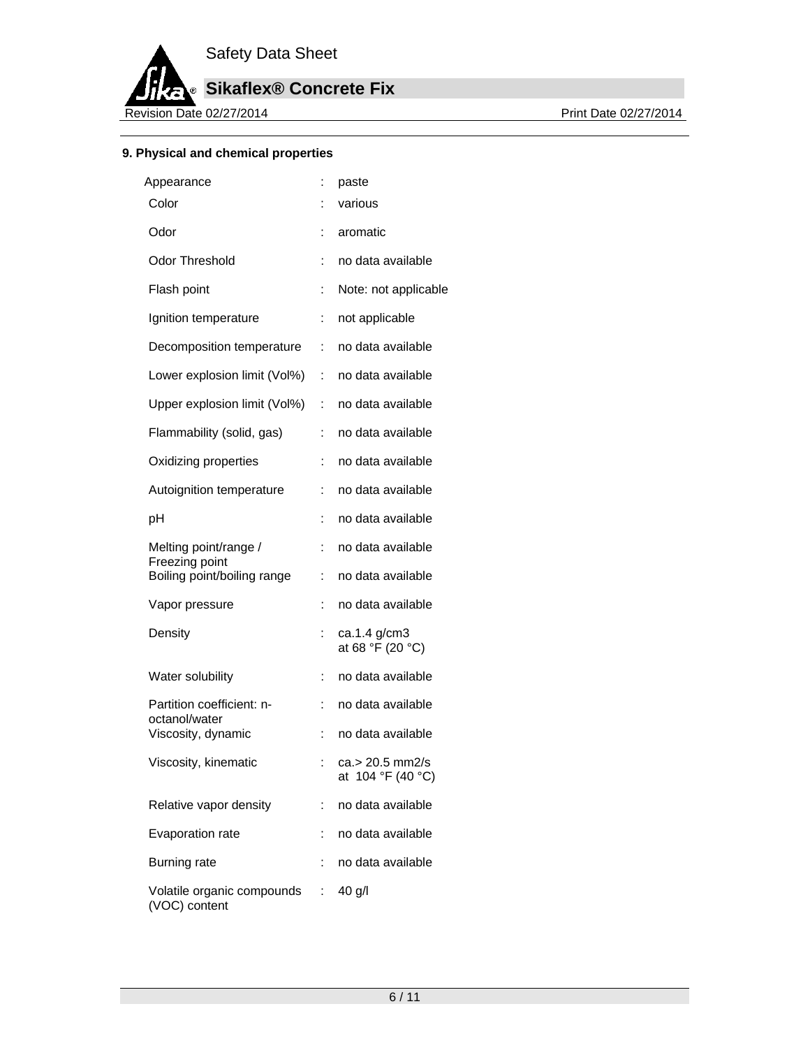

**Sikaflex® Concrete Fix**

Revision Date 02/27/2014

## **9. Physical and chemical properties**

| Appearance                                  |                | paste                                |
|---------------------------------------------|----------------|--------------------------------------|
| Color                                       | ÷              | various                              |
| Odor                                        | t.             | aromatic                             |
| <b>Odor Threshold</b>                       | ÷              | no data available                    |
| Flash point                                 | $\ddot{\cdot}$ | Note: not applicable                 |
| Ignition temperature                        | ÷              | not applicable                       |
| Decomposition temperature                   | ÷              | no data available                    |
| Lower explosion limit (Vol%)                | ÷.             | no data available                    |
| Upper explosion limit (Vol%)                | t.             | no data available                    |
| Flammability (solid, gas)                   | ÷              | no data available                    |
| Oxidizing properties                        | ÷              | no data available                    |
| Autoignition temperature                    | İ.             | no data available                    |
| рH                                          | ÷              | no data available                    |
| Melting point/range /<br>Freezing point     | ÷              | no data available                    |
| Boiling point/boiling range                 | ÷              | no data available                    |
| Vapor pressure                              | ÷              | no data available                    |
| Density                                     | ÷              | ca.1.4 g/cm3<br>at 68 °F (20 °C)     |
| Water solubility                            | ÷              | no data available                    |
| Partition coefficient: n-<br>octanol/water  | ÷              | no data available                    |
| Viscosity, dynamic                          | ÷              | no data available                    |
| Viscosity, kinematic                        | ÷              | ca.> 20.5 mm2/s<br>at 104 °F (40 °C) |
| Relative vapor density                      | ÷              | no data available                    |
| Evaporation rate                            | ÷              | no data available                    |
| <b>Burning rate</b>                         | ÷              | no data available                    |
| Volatile organic compounds<br>(VOC) content | ÷              | 40 g/l                               |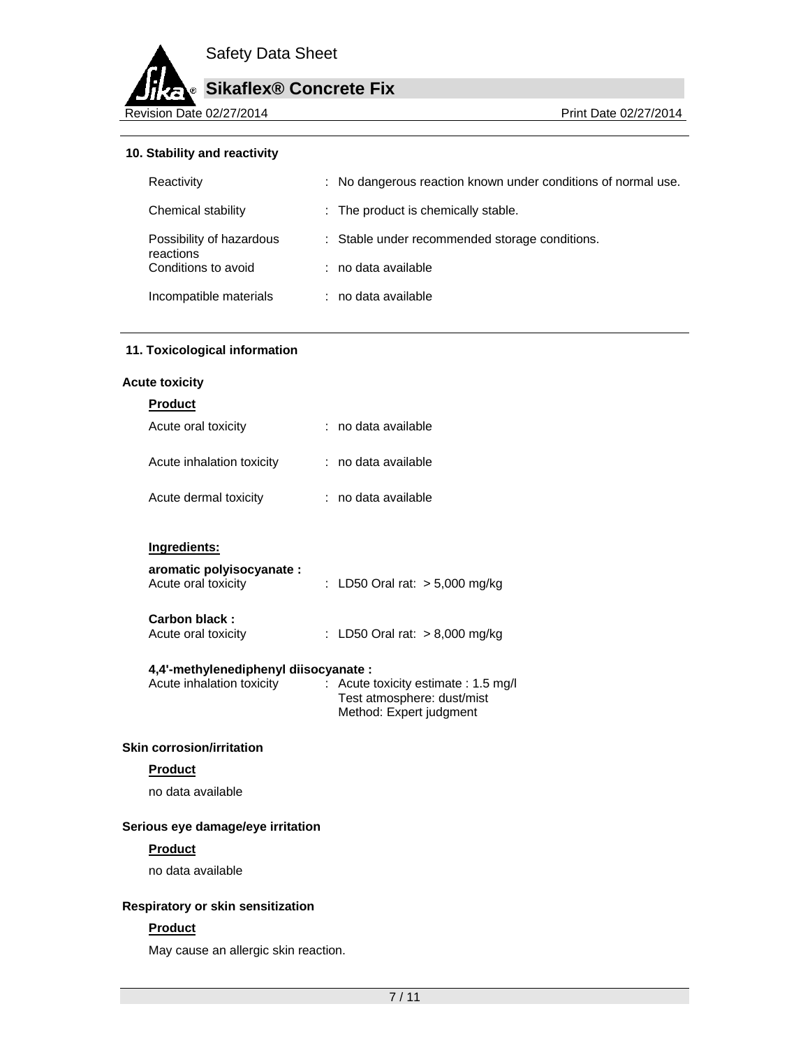

#### **10. Stability and reactivity**

| Reactivity                            | : No dangerous reaction known under conditions of normal use. |
|---------------------------------------|---------------------------------------------------------------|
| Chemical stability                    | : The product is chemically stable.                           |
| Possibility of hazardous<br>reactions | : Stable under recommended storage conditions.                |
| Conditions to avoid                   | : no data available                                           |
| Incompatible materials                | : no data available                                           |

#### **11. Toxicological information**

#### **Acute toxicity**

| <b>Product</b>                                   |                                  |
|--------------------------------------------------|----------------------------------|
| Acute oral toxicity                              | ∶no data available               |
| Acute inhalation toxicity                        | ∶no data available               |
| Acute dermal toxicity                            | ∶no data available               |
|                                                  |                                  |
| Ingredients:                                     |                                  |
| aromatic polyisocyanate :<br>Acute oral toxicity | : LD50 Oral rat: $>$ 5,000 mg/kg |
| Carbon black:<br>Acute oral toxicity             | : LD50 Oral rat: $> 8,000$ mg/kg |
| 4,4'-methylenediphenyl diisocyanate :            |                                  |

#### Acute inhalation toxicity : Acute toxicity estimate : 1.5 mg/l Test atmosphere: dust/mist Method: Expert judgment

#### **Skin corrosion/irritation**

## **Product**

no data available

#### **Serious eye damage/eye irritation**

#### **Product**

no data available

#### **Respiratory or skin sensitization**

#### **Product**

May cause an allergic skin reaction.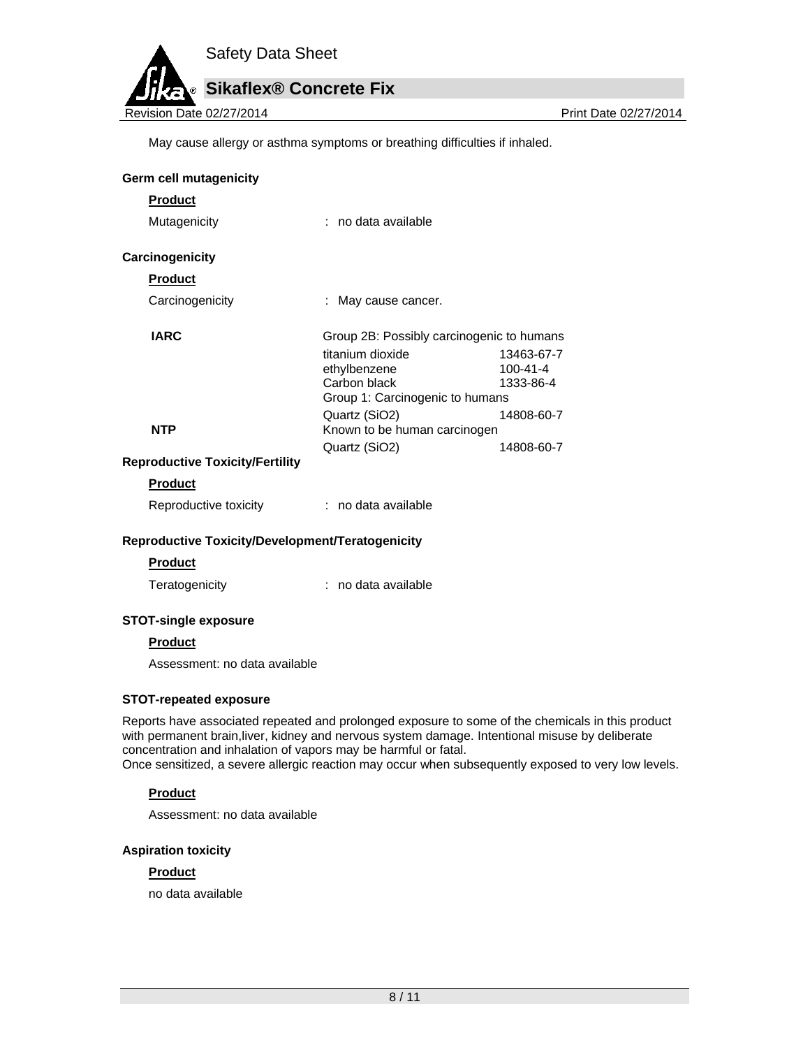

May cause allergy or asthma symptoms or breathing difficulties if inhaled.

|                                                  | May cause allergy or asthma symptoms or breathing difficulties if inhaled. |                             |
|--------------------------------------------------|----------------------------------------------------------------------------|-----------------------------|
| <b>Germ cell mutagenicity</b>                    |                                                                            |                             |
| <b>Product</b>                                   |                                                                            |                             |
| Mutagenicity                                     | : no data available                                                        |                             |
| Carcinogenicity                                  |                                                                            |                             |
| <b>Product</b>                                   |                                                                            |                             |
| Carcinogenicity                                  | May cause cancer.                                                          |                             |
| <b>IARC</b>                                      | Group 2B: Possibly carcinogenic to humans                                  |                             |
|                                                  | titanium dioxide                                                           | 13463-67-7                  |
|                                                  | ethylbenzene<br>Carbon black                                               | $100 - 41 - 4$<br>1333-86-4 |
|                                                  | Group 1: Carcinogenic to humans                                            |                             |
|                                                  | Quartz (SiO2)                                                              | 14808-60-7                  |
| <b>NTP</b>                                       | Known to be human carcinogen                                               |                             |
|                                                  | Quartz (SiO2)                                                              | 14808-60-7                  |
| <b>Reproductive Toxicity/Fertility</b>           |                                                                            |                             |
| <b>Product</b>                                   |                                                                            |                             |
| Reproductive toxicity                            | : no data available                                                        |                             |
| Reproductive Toxicity/Development/Teratogenicity |                                                                            |                             |
| <b>Product</b>                                   |                                                                            |                             |
| Teratogenicity                                   | no data available<br>t.                                                    |                             |

#### **STOT-single exposure**

#### **Product**

Assessment: no data available

#### **STOT-repeated exposure**

Reports have associated repeated and prolonged exposure to some of the chemicals in this product with permanent brain,liver, kidney and nervous system damage. Intentional misuse by deliberate concentration and inhalation of vapors may be harmful or fatal.

Once sensitized, a severe allergic reaction may occur when subsequently exposed to very low levels.

#### **Product**

Assessment: no data available

#### **Aspiration toxicity**

#### **Product**

no data available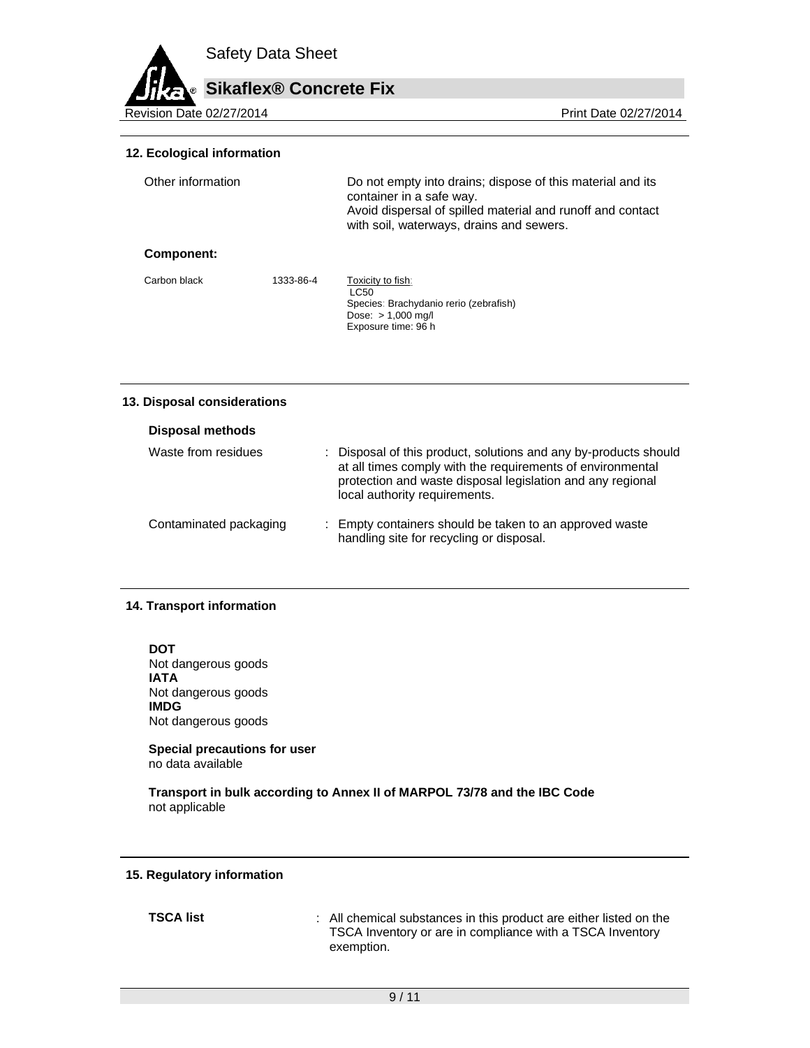# **Sikaflex® Concrete Fix**

Revision Date 02/27/2014

#### **12. Ecological information**

| Other information |           | Do not empty into drains; dispose of this material and its<br>container in a safe way.<br>Avoid dispersal of spilled material and runoff and contact<br>with soil, waterways, drains and sewers. |
|-------------------|-----------|--------------------------------------------------------------------------------------------------------------------------------------------------------------------------------------------------|
| Component:        |           |                                                                                                                                                                                                  |
| Carbon black      | 1333-86-4 | Toxicity to fish:<br>LC50<br>Species: Brachydanio rerio (zebrafish)<br>Dose: $> 1,000$ mg/l<br>Exposure time: 96 h                                                                               |

#### **13. Disposal considerations**

| Disposal methods       |                                                                                                                                                                                                                               |
|------------------------|-------------------------------------------------------------------------------------------------------------------------------------------------------------------------------------------------------------------------------|
| Waste from residues    | : Disposal of this product, solutions and any by-products should<br>at all times comply with the requirements of environmental<br>protection and waste disposal legislation and any regional<br>local authority requirements. |
| Contaminated packaging | : Empty containers should be taken to an approved waste<br>handling site for recycling or disposal.                                                                                                                           |

#### **14. Transport information**

**DOT**  Not dangerous goods **IATA**  Not dangerous goods **IMDG**  Not dangerous goods

**Special precautions for user** no data available

**Transport in bulk according to Annex II of MARPOL 73/78 and the IBC Code**  not applicable

#### **15. Regulatory information**

**TSCA list** : All chemical substances in this product are either listed on the TSCA Inventory or are in compliance with a TSCA Inventory exemption.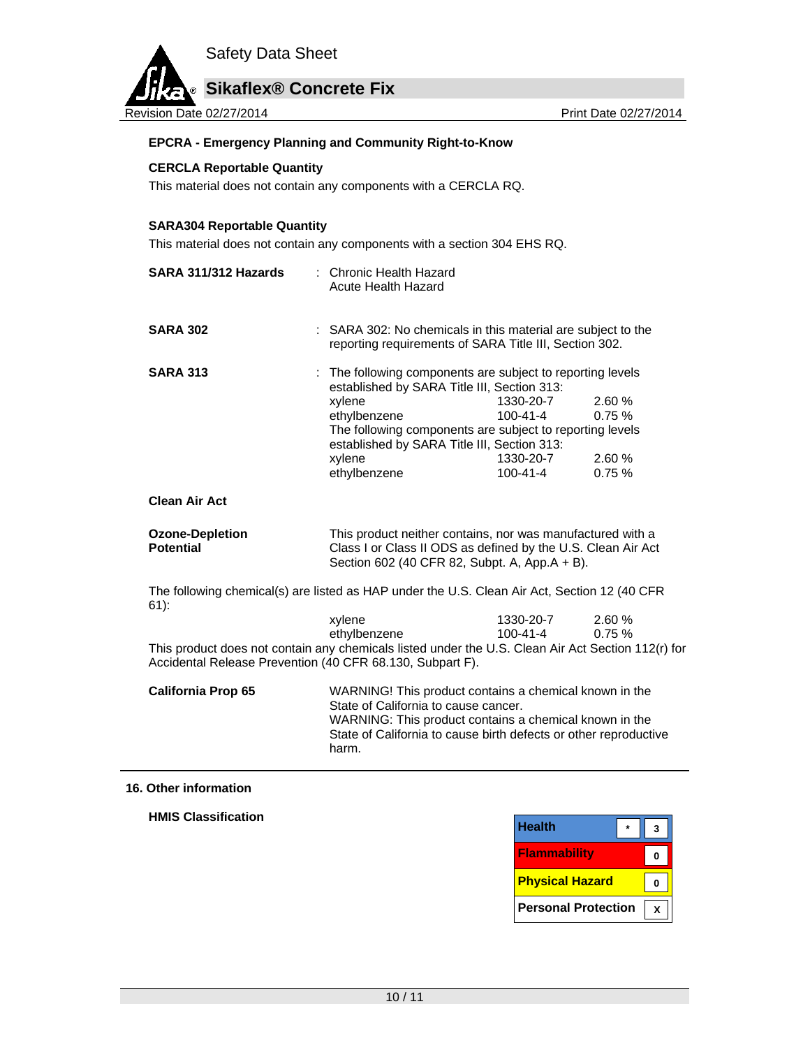

#### **EPCRA - Emergency Planning and Community Right-to-Know**

#### **CERCLA Reportable Quantity**

This material does not contain any components with a CERCLA RQ.

## **SARA304 Reportable Quantity**

This material does not contain any components with a section 304 EHS RQ.

| SARA 311/312 Hazards                                                                                                                                            | : Chronic Health Hazard<br>Acute Health Hazard                                                          |                                                                                                                                                                             |        |
|-----------------------------------------------------------------------------------------------------------------------------------------------------------------|---------------------------------------------------------------------------------------------------------|-----------------------------------------------------------------------------------------------------------------------------------------------------------------------------|--------|
| <b>SARA 302</b>                                                                                                                                                 | : SARA 302: No chemicals in this material are subject to the                                            | reporting requirements of SARA Title III, Section 302.                                                                                                                      |        |
| <b>SARA 313</b>                                                                                                                                                 | The following components are subject to reporting levels<br>established by SARA Title III, Section 313: |                                                                                                                                                                             |        |
|                                                                                                                                                                 | xylene                                                                                                  | 1330-20-7                                                                                                                                                                   | 2.60 % |
|                                                                                                                                                                 | ethylbenzene                                                                                            | 100-41-4                                                                                                                                                                    | 0.75%  |
|                                                                                                                                                                 | established by SARA Title III, Section 313:                                                             | The following components are subject to reporting levels                                                                                                                    |        |
|                                                                                                                                                                 | xylene                                                                                                  | 1330-20-7                                                                                                                                                                   | 2.60 % |
|                                                                                                                                                                 | ethylbenzene                                                                                            | 100-41-4                                                                                                                                                                    | 0.75%  |
| <b>Clean Air Act</b>                                                                                                                                            |                                                                                                         |                                                                                                                                                                             |        |
| <b>Ozone-Depletion</b><br><b>Potential</b>                                                                                                                      |                                                                                                         | This product neither contains, nor was manufactured with a<br>Class I or Class II ODS as defined by the U.S. Clean Air Act<br>Section 602 (40 CFR 82, Subpt. A, App.A + B). |        |
| The following chemical(s) are listed as HAP under the U.S. Clean Air Act, Section 12 (40 CFR<br>$61$ :                                                          |                                                                                                         |                                                                                                                                                                             |        |
|                                                                                                                                                                 | xylene                                                                                                  | 1330-20-7                                                                                                                                                                   | 2.60 % |
|                                                                                                                                                                 | ethylbenzene                                                                                            | 100-41-4                                                                                                                                                                    | 0.75%  |
| This product does not contain any chemicals listed under the U.S. Clean Air Act Section 112(r) for<br>Accidental Release Prevention (40 CFR 68.130, Subpart F). |                                                                                                         |                                                                                                                                                                             |        |
| <b>California Prop 65</b>                                                                                                                                       | State of California to cause cancer.                                                                    | WARNING! This product contains a chemical known in the<br>WARNING: This product contains a chemical known in the                                                            |        |
|                                                                                                                                                                 | harm.                                                                                                   | State of California to cause birth defects or other reproductive                                                                                                            |        |

#### **16. Other information**

**HMIS Classification** 

| <b>Health</b>          |  |
|------------------------|--|
| <b>Flammability</b>    |  |
| <b>Physical Hazard</b> |  |
|                        |  |